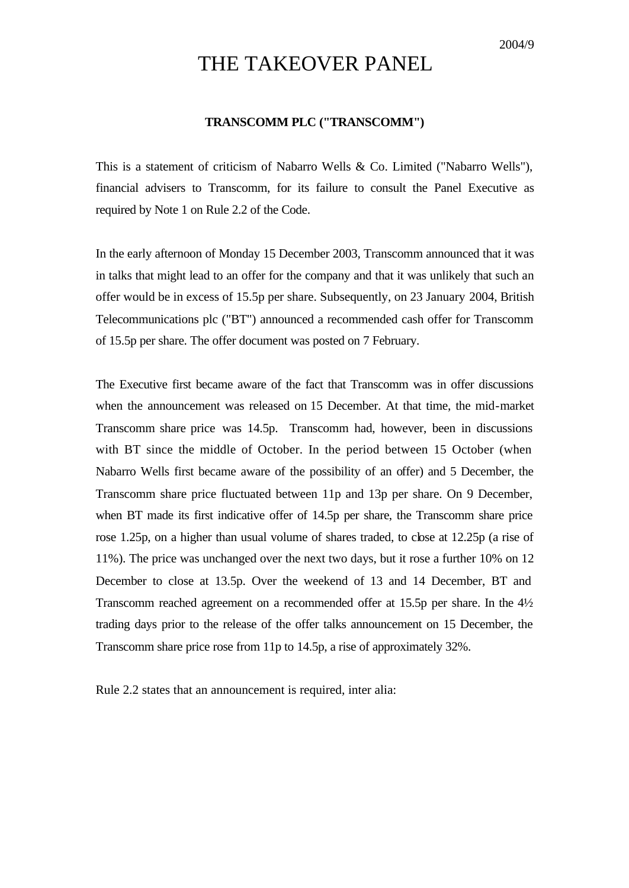## THE TAKEOVER PANEL

## **TRANSCOMM PLC ("TRANSCOMM")**

This is a statement of criticism of Nabarro Wells & Co. Limited ("Nabarro Wells"), financial advisers to Transcomm, for its failure to consult the Panel Executive as required by Note 1 on Rule 2.2 of the Code.

In the early afternoon of Monday 15 December 2003, Transcomm announced that it was in talks that might lead to an offer for the company and that it was unlikely that such an offer would be in excess of 15.5p per share. Subsequently, on 23 January 2004, British Telecommunications plc ("BT") announced a recommended cash offer for Transcomm of 15.5p per share. The offer document was posted on 7 February.

The Executive first became aware of the fact that Transcomm was in offer discussions when the announcement was released on 15 December. At that time, the mid-market Transcomm share price was 14.5p. Transcomm had, however, been in discussions with BT since the middle of October. In the period between 15 October (when Nabarro Wells first became aware of the possibility of an offer) and 5 December, the Transcomm share price fluctuated between 11p and 13p per share. On 9 December, when BT made its first indicative offer of 14.5p per share, the Transcomm share price rose 1.25p, on a higher than usual volume of shares traded, to close at 12.25p (a rise of 11%). The price was unchanged over the next two days, but it rose a further 10% on 12 December to close at 13.5p. Over the weekend of 13 and 14 December, BT and Transcomm reached agreement on a recommended offer at 15.5p per share. In the 4½ trading days prior to the release of the offer talks announcement on 15 December, the Transcomm share price rose from 11p to 14.5p, a rise of approximately 32%.

Rule 2.2 states that an announcement is required, inter alia: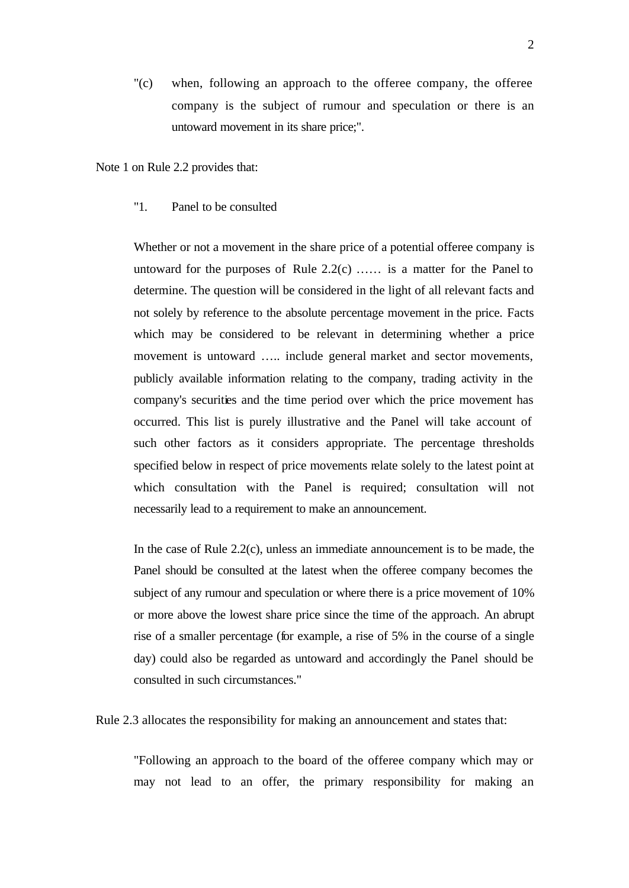"(c) when, following an approach to the offeree company, the offeree company is the subject of rumour and speculation or there is an untoward movement in its share price;".

Note 1 on Rule 2.2 provides that:

## "1. Panel to be consulted

Whether or not a movement in the share price of a potential offeree company is untoward for the purposes of Rule 2.2(c) …… is a matter for the Panel to determine. The question will be considered in the light of all relevant facts and not solely by reference to the absolute percentage movement in the price. Facts which may be considered to be relevant in determining whether a price movement is untoward ….. include general market and sector movements, publicly available information relating to the company, trading activity in the company's securities and the time period over which the price movement has occurred. This list is purely illustrative and the Panel will take account of such other factors as it considers appropriate. The percentage thresholds specified below in respect of price movements relate solely to the latest point at which consultation with the Panel is required; consultation will not necessarily lead to a requirement to make an announcement.

In the case of Rule 2.2(c), unless an immediate announcement is to be made, the Panel should be consulted at the latest when the offeree company becomes the subject of any rumour and speculation or where there is a price movement of 10% or more above the lowest share price since the time of the approach. An abrupt rise of a smaller percentage (for example, a rise of 5% in the course of a single day) could also be regarded as untoward and accordingly the Panel should be consulted in such circumstances."

Rule 2.3 allocates the responsibility for making an announcement and states that:

"Following an approach to the board of the offeree company which may or may not lead to an offer, the primary responsibility for making an